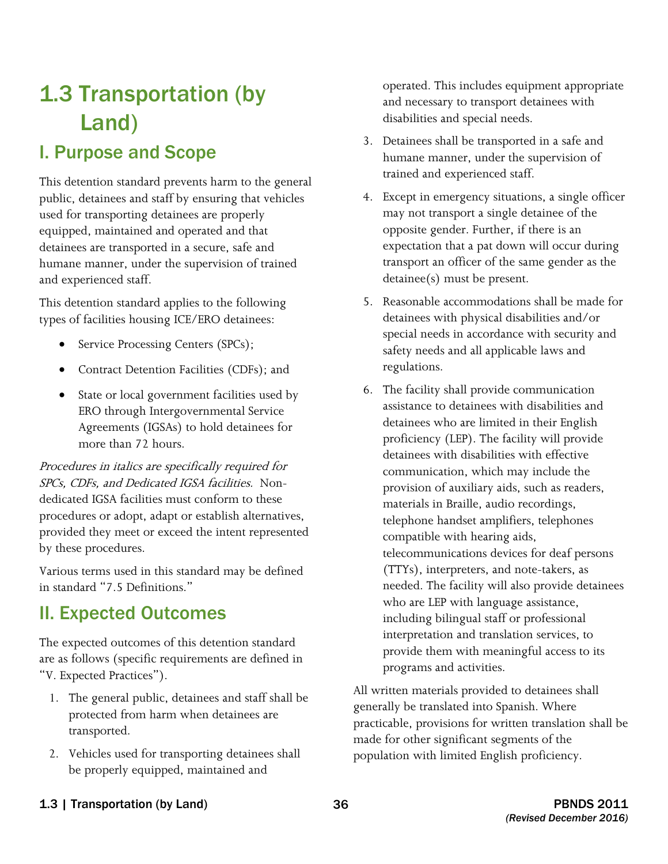# 1.3 Transportation (by Land)

# I. Purpose and Scope

This detention standard prevents harm to the general public, detainees and staff by ensuring that vehicles used for transporting detainees are properly equipped, maintained and operated and that detainees are transported in a secure, safe and humane manner, under the supervision of trained and experienced staff.

This detention standard applies to the following types of facilities housing ICE/ERO detainees:

- Service Processing Centers (SPCs);
- Contract Detention Facilities (CDFs); and
- State or local government facilities used by ERO through Intergovernmental Service Agreements (IGSAs) to hold detainees for more than 72 hours.

Procedures in italics are specifically required for SPCs, CDFs, and Dedicated IGSA facilities. Nondedicated IGSA facilities must conform to these procedures or adopt, adapt or establish alternatives, provided they meet or exceed the intent represented by these procedures.

Various terms used in this standard may be defined in standard "7.5 Definitions."

# II. Expected Outcomes

The expected outcomes of this detention standard are as follows (specific requirements are defined in "V. Expected Practices").

- 1. The general public, detainees and staff shall be protected from harm when detainees are transported.
- 2. Vehicles used for transporting detainees shall be properly equipped, maintained and

operated. This includes equipment appropriate and necessary to transport detainees with disabilities and special needs.

- 3. Detainees shall be transported in a safe and humane manner, under the supervision of trained and experienced staff.
- may not transport a single detainee of the 4. Except in emergency situations, a single officer opposite gender. Further, if there is an expectation that a pat down will occur during transport an officer of the same gender as the detainee(s) must be present.
- 5. Reasonable accommodations shall be made for detainees with physical disabilities and/or special needs in accordance with security and safety needs and all applicable laws and regulations.
- 6. The facility shall provide communication assistance to detainees with disabilities and detainees who are limited in their English proficiency (LEP). The facility will provide detainees with disabilities with effective communication, which may include the provision of auxiliary aids, such as readers, materials in Braille, audio recordings, telephone handset amplifiers, telephones compatible with hearing aids, telecommunications devices for deaf persons (TTYs), interpreters, and note-takers, as needed. The facility will also provide detainees who are LEP with language assistance, including bilingual staff or professional interpretation and translation services, to provide them with meaningful access to its programs and activities.

All written materials provided to detainees shall generally be translated into Spanish. Where practicable, provisions for written translation shall be made for other significant segments of the population with limited English proficiency.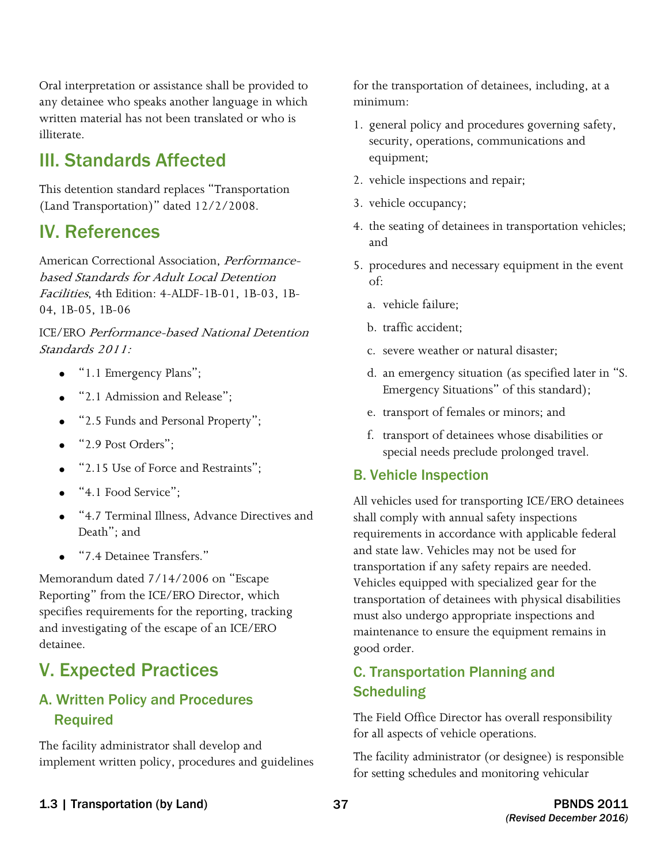Oral interpretation or assistance shall be provided to any detainee who speaks another language in which written material has not been translated or who is illiterate.

# III. Standards Affected

This detention standard replaces "Transportation (Land Transportation)" dated 12/2/2008.

# IV. References

American Correctional Association, Performancebased Standards for Adult Local Detention Facilities, 4th Edition: 4-ALDF-1B-01, 1B-03, 1B-04, 1B-05, 1B-06

ICE/ERO Performance-based National Detention Standards 2011:

- "1.1 Emergency Plans";
- "2.1 Admission and Release":
- "2.5 Funds and Personal Property";
- "2.9 Post Orders":
- "2.15 Use of Force and Restraints";
- "4.1 Food Service";
- • "4.7 Terminal Illness, Advance Directives and Death"; and
- • "7.4 Detainee Transfers."

Memorandum dated 7/14/2006 on "Escape Reporting" from the ICE/ERO Director, which specifies requirements for the reporting, tracking and investigating of the escape of an ICE/ERO detainee.

# V. Expected Practices

# A. Written Policy and Procedures Required

The facility administrator shall develop and implement written policy, procedures and guidelines for the transportation of detainees, including, at a minimum:

- 1. general policy and procedures governing safety, security, operations, communications and equipment;
- 2. vehicle inspections and repair;
- 3. vehicle occupancy;
- 4. the seating of detainees in transportation vehicles; and
- 5. procedures and necessary equipment in the event of:
	- a. vehicle failure;
	- b. traffic accident;
	- c. severe weather or natural disaster;
	- d. an emergency situation (as specified later in "S. Emergency Situations" of this standard);
	- e. transport of females or minors; and
	- f. transport of detainees whose disabilities or special needs preclude prolonged travel.

#### B. Vehicle Inspection

All vehicles used for transporting ICE/ERO detainees shall comply with annual safety inspections requirements in accordance with applicable federal and state law. Vehicles may not be used for transportation if any safety repairs are needed. Vehicles equipped with specialized gear for the transportation of detainees with physical disabilities must also undergo appropriate inspections and maintenance to ensure the equipment remains in good order.

# C. Transportation Planning and **Scheduling**

The Field Office Director has overall responsibility for all aspects of vehicle operations.

 for setting schedules and monitoring vehicular The facility administrator (or designee) is responsible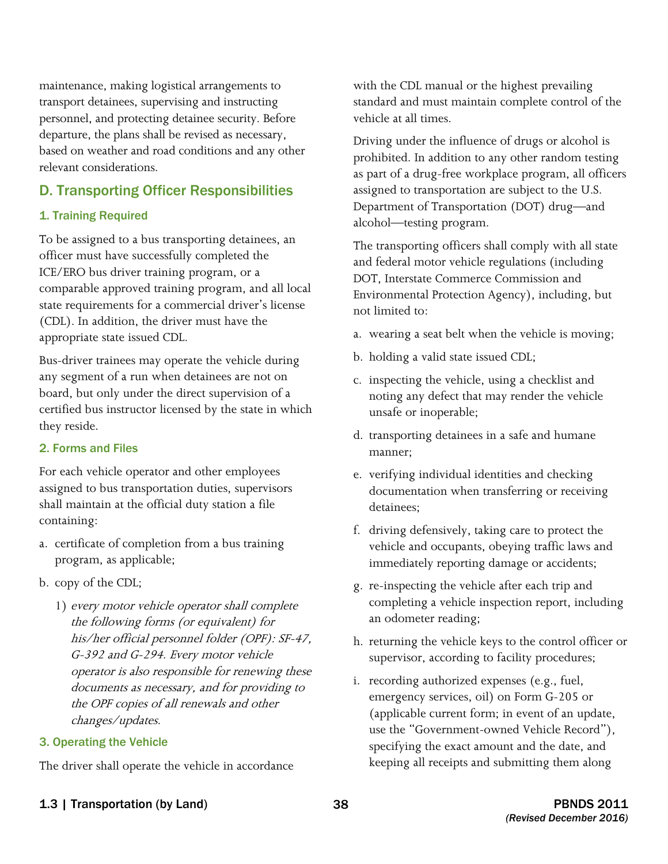maintenance, making logistical arrangements to personnel, and protecting detainee security. Before transport detainees, supervising and instructing departure, the plans shall be revised as necessary, based on weather and road conditions and any other relevant considerations.

### D. Transporting Officer Responsibilities

#### 1. Training Required

To be assigned to a bus transporting detainees, an officer must have successfully completed the ICE/ERO bus driver training program, or a comparable approved training program, and all local state requirements for a commercial driver's license (CDL). In addition, the driver must have the appropriate state issued CDL.

Bus-driver trainees may operate the vehicle during any segment of a run when detainees are not on board, but only under the direct supervision of a certified bus instructor licensed by the state in which they reside.

#### 2. Forms and Files

For each vehicle operator and other employees assigned to bus transportation duties, supervisors shall maintain at the official duty station a file containing:

- a. certificate of completion from a bus training program, as applicable;
- b. copy of the CDL;
	- 1) every motor vehicle operator shall complete the following forms (or equivalent) for his/her official personnel folder (OPF): SF-47, G-392 and G-294. Every motor vehicle operator is also responsible for renewing these documents as necessary, and for providing to the OPF copies of all renewals and other changes/updates.

#### 3. Operating the Vehicle

The driver shall operate the vehicle in accordance

with the CDL manual or the highest prevailing standard and must maintain complete control of the vehicle at all times.

Driving under the influence of drugs or alcohol is prohibited. In addition to any other random testing as part of a drug-free workplace program, all officers assigned to transportation are subject to the U.S. Department of Transportation (DOT) drug—and alcohol—testing program.

The transporting officers shall comply with all state and federal motor vehicle regulations (including DOT, Interstate Commerce Commission and Environmental Protection Agency), including, but not limited to:

- a. wearing a seat belt when the vehicle is moving;
- b. holding a valid state issued CDL;
- c. inspecting the vehicle, using a checklist and noting any defect that may render the vehicle unsafe or inoperable;
- d. transporting detainees in a safe and humane manner;
- e. verifying individual identities and checking documentation when transferring or receiving detainees;
- vehicle and occupants, obeying traffic laws and f. driving defensively, taking care to protect the immediately reporting damage or accidents;
- g. re-inspecting the vehicle after each trip and completing a vehicle inspection report, including an odometer reading;
- h. returning the vehicle keys to the control officer or supervisor, according to facility procedures;
- i. recording authorized expenses (e.g., fuel, emergency services, oil) on Form G-205 or (applicable current form; in event of an update, use the "Government-owned Vehicle Record"), specifying the exact amount and the date, and keeping all receipts and submitting them along
- 1.3 | Transportation (by Land) 38 38 PBNDS 2011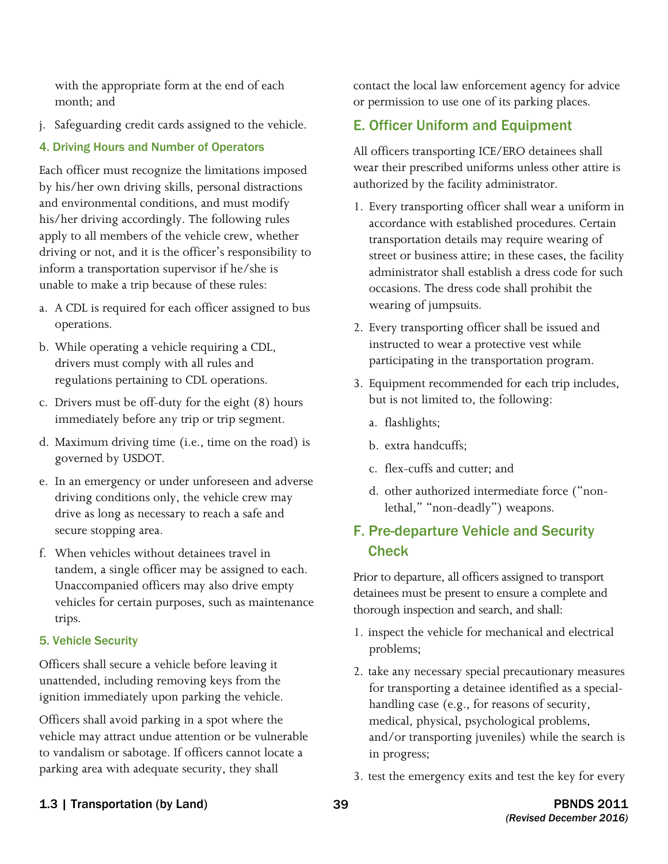with the appropriate form at the end of each month; and

j. Safeguarding credit cards assigned to the vehicle.

#### 4. Driving Hours and Number of Operators

Each officer must recognize the limitations imposed by his/her own driving skills, personal distractions and environmental conditions, and must modify his/her driving accordingly. The following rules apply to all members of the vehicle crew, whether driving or not, and it is the officer's responsibility to inform a transportation supervisor if he/she is unable to make a trip because of these rules:

- a. A CDL is required for each officer assigned to bus operations.
- b. While operating a vehicle requiring a CDL, drivers must comply with all rules and regulations pertaining to CDL operations.
- c. Drivers must be off-duty for the eight (8) hours immediately before any trip or trip segment.
- d. Maximum driving time (i.e., time on the road) is governed by USDOT.
- driving conditions only, the vehicle crew may drive as long as necessary to reach a safe and e. In an emergency or under unforeseen and adverse secure stopping area.
- f. When vehicles without detainees travel in tandem, a single officer may be assigned to each. Unaccompanied officers may also drive empty vehicles for certain purposes, such as maintenance trips.

#### 5. Vehicle Security

Officers shall secure a vehicle before leaving it unattended, including removing keys from the ignition immediately upon parking the vehicle.

Officers shall avoid parking in a spot where the vehicle may attract undue attention or be vulnerable to vandalism or sabotage. If officers cannot locate a parking area with adequate security, they shall

contact the local law enforcement agency for advice or permission to use one of its parking places.

## E. Officer Uniform and Equipment

All officers transporting ICE/ERO detainees shall wear their prescribed uniforms unless other attire is authorized by the facility administrator.

- 1. Every transporting officer shall wear a uniform in accordance with established procedures. Certain transportation details may require wearing of street or business attire; in these cases, the facility administrator shall establish a dress code for such occasions. The dress code shall prohibit the wearing of jumpsuits.
- 2. Every transporting officer shall be issued and instructed to wear a protective vest while participating in the transportation program.
- 3. Equipment recommended for each trip includes, but is not limited to, the following:
	- a. flashlights;
	- b. extra handcuffs;
	- c. flex-cuffs and cutter; and
	- d. other authorized intermediate force ("nonlethal," "non-deadly") weapons.

# F. Pre-departure Vehicle and Security **Check**

Prior to departure, all officers assigned to transport detainees must be present to ensure a complete and thorough inspection and search, and shall:

- 1. inspect the vehicle for mechanical and electrical problems;
- 2. take any necessary special precautionary measures for transporting a detainee identified as a specialhandling case (e.g., for reasons of security, medical, physical, psychological problems, and/or transporting juveniles) while the search is in progress;
- 3. test the emergency exits and test the key for every

#### 1.3 | Transportation (by Land) 39 PBNDS 2011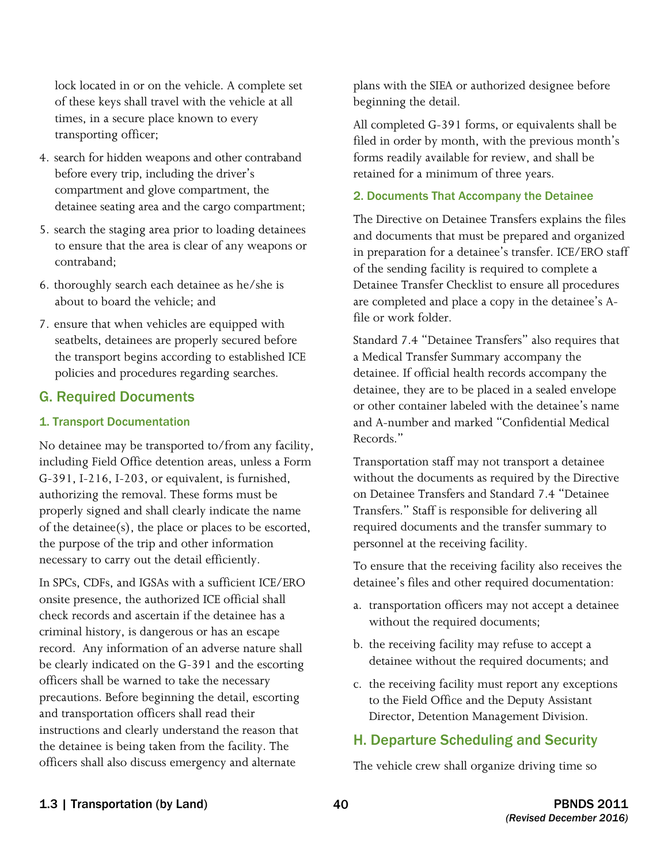lock located in or on the vehicle. A complete set of these keys shall travel with the vehicle at all times, in a secure place known to every transporting officer;

- 4. search for hidden weapons and other contraband before every trip, including the driver's compartment and glove compartment, the detainee seating area and the cargo compartment;
- 5. search the staging area prior to loading detainees to ensure that the area is clear of any weapons or contraband;
- 6. thoroughly search each detainee as he/she is about to board the vehicle; and
- 7. ensure that when vehicles are equipped with seatbelts, detainees are properly secured before the transport begins according to established ICE policies and procedures regarding searches.

#### G. Required Documents

#### 1. Transport Documentation

No detainee may be transported to/from any facility, including Field Office detention areas, unless a Form G-391, I-216, I-203, or equivalent, is furnished, authorizing the removal. These forms must be properly signed and shall clearly indicate the name of the detainee(s), the place or places to be escorted, the purpose of the trip and other information necessary to carry out the detail efficiently.

 officers shall also discuss emergency and alternate In SPCs, CDFs, and IGSAs with a sufficient ICE/ERO onsite presence, the authorized ICE official shall check records and ascertain if the detainee has a criminal history, is dangerous or has an escape record. Any information of an adverse nature shall be clearly indicated on the G-391 and the escorting officers shall be warned to take the necessary precautions. Before beginning the detail, escorting and transportation officers shall read their instructions and clearly understand the reason that the detainee is being taken from the facility. The

plans with the SIEA or authorized designee before beginning the detail.

All completed G-391 forms, or equivalents shall be filed in order by month, with the previous month's forms readily available for review, and shall be retained for a minimum of three years.

#### 2. Documents That Accompany the Detainee

The Directive on Detainee Transfers explains the files and documents that must be prepared and organized in preparation for a detainee's transfer. ICE/ERO staff of the sending facility is required to complete a Detainee Transfer Checklist to ensure all procedures are completed and place a copy in the detainee's Afile or work folder.

Standard 7.4 "Detainee Transfers" also requires that<br>a Medical Transfer Summary accompany the a Medical Transfer Summary accompany the detainee. If official health records accompany the detainee, they are to be placed in a sealed envelope or other container labeled with the detainee's name and A-number and marked "Confidential Medical Records."<br>Transportation staff may not transport a detainee

 Transfers." Staff is responsible for delivering all without the documents as required by the Directive on Detainee Transfers and Standard 7.4 "Detainee required documents and the transfer summary to personnel at the receiving facility.

To ensure that the receiving facility also receives the detainee's files and other required documentation:

- a. transportation officers may not accept a detainee without the required documents;
- b. the receiving facility may refuse to accept a detainee without the required documents; and
- c. the receiving facility must report any exceptions to the Field Office and the Deputy Assistant Director, Detention Management Division.

### H. Departure Scheduling and Security

The vehicle crew shall organize driving time so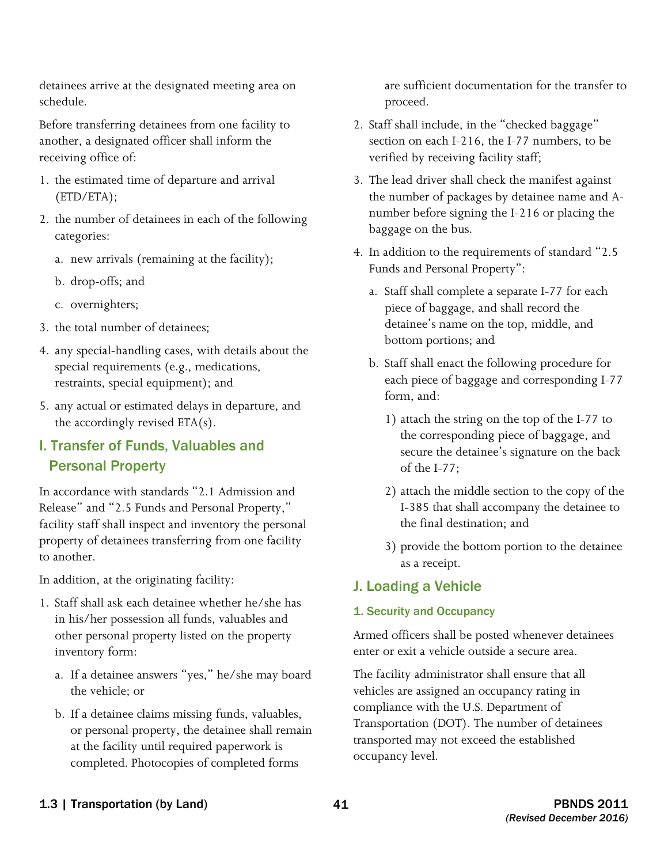detainees arrive at the designated meeting area on are sufficient documentation for the transfer to schedule. **proceed.** proceed.

Before transferring detainees from one facility to another, a designated officer shall inform the receiving office of:

- 1. the estimated time of departure and arrival (ETD/ETA);
- 2. the number of detainees in each of the following categories:
	- a. new arrivals (remaining at the facility);
	- b. drop-offs; and
	- c. overnighters;
- 3. the total number of detainees;
- 4. any special-handling cases, with details about the special requirements (e.g., medications, restraints, special equipment); and
- 5. any actual or estimated delays in departure, and the accordingly revised ETA(s).

# I. Transfer of Funds, Valuables and Personal Property

In accordance with standards "2.1 Admission and Release" and "2.5 Funds and Personal Property," facility staff shall inspect and inventory the personal property of detainees transferring from one facility to another.

In addition, at the originating facility:

- 1. Staff shall ask each detainee whether he/she has in his/her possession all funds, valuables and other personal property listed on the property inventory form:
	- a. If a detainee answers "yes," he/she may board the vehicle; or
	- b. If a detainee claims missing funds, valuables, or personal property, the detainee shall remain at the facility until required paperwork is completed. Photocopies of completed forms

- 2. Staff shall include, in the "checked baggage" section on each I-216, the I-77 numbers, to be verified by receiving facility staff;
- 3. The lead driver shall check the manifest against the number of packages by detainee name and Anumber before signing the I-216 or placing the baggage on the bus.
- 4. In addition to the requirements of standard "2.5 Funds and Personal Property":
	- a. Staff shall complete a separate I-77 for each piece of baggage, and shall record the detainee's name on the top, middle, and bottom portions; and
	- b. Staff shall enact the following procedure for each piece of baggage and corresponding I-77 form, and:
		- 1) attach the string on the top of the I-77 to the corresponding piece of baggage, and secure the detainee's signature on the back of the I-77;
		- 2) attach the middle section to the copy of the I-385 that shall accompany the detainee to the final destination; and
		- 3) provide the bottom portion to the detainee as a receipt.

# J. Loading a Vehicle

### 1. Security and Occupancy

Armed officers shall be posted whenever detainees enter or exit a vehicle outside a secure area.

The facility administrator shall ensure that all vehicles are assigned an occupancy rating in compliance with the U.S. Department of Transportation (DOT). The number of detainees transported may not exceed the established occupancy level.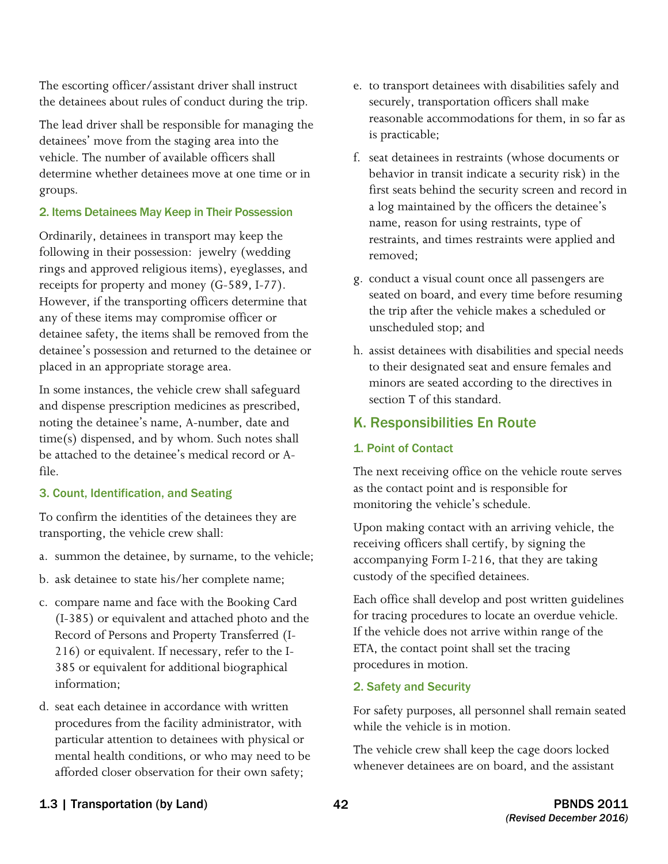The escorting officer/assistant driver shall instruct the detainees about rules of conduct during the trip.

The lead driver shall be responsible for managing the detainees' move from the staging area into the vehicle. The number of available officers shall determine whether detainees move at one time or in groups.

#### 2. Items Detainees May Keep in Their Possession

 detainee's possession and returned to the detainee or Ordinarily, detainees in transport may keep the following in their possession: jewelry (wedding rings and approved religious items), eyeglasses, and receipts for property and money (G-589, I-77). However, if the transporting officers determine that any of these items may compromise officer or detainee safety, the items shall be removed from the placed in an appropriate storage area.

In some instances, the vehicle crew shall safeguard and dispense prescription medicines as prescribed, noting the detainee's name, A-number, date and time(s) dispensed, and by whom. Such notes shall be attached to the detainee's medical record or Afile.

#### 3. Count, Identification, and Seating

To confirm the identities of the detainees they are transporting, the vehicle crew shall:

- a. summon the detainee, by surname, to the vehicle;
- b. ask detainee to state his/her complete name;
- c. compare name and face with the Booking Card (I-385) or equivalent and attached photo and the Record of Persons and Property Transferred (I-216) or equivalent. If necessary, refer to the I-385 or equivalent for additional biographical information;
- afforded closer observation for their own safety; d. seat each detainee in accordance with written procedures from the facility administrator, with particular attention to detainees with physical or mental health conditions, or who may need to be
- e. to transport detainees with disabilities safely and securely, transportation officers shall make reasonable accommodations for them, in so far as is practicable;
- removed: f. seat detainees in restraints (whose documents or behavior in transit indicate a security risk) in the first seats behind the security screen and record in a log maintained by the officers the detainee's name, reason for using restraints, type of restraints, and times restraints were applied and
- g. conduct a visual count once all passengers are seated on board, and every time before resuming the trip after the vehicle makes a scheduled or unscheduled stop; and
- h. assist detainees with disabilities and special needs to their designated seat and ensure females and minors are seated according to the directives in section T of this standard.

### K. Responsibilities En Route

#### 1. Point of Contact

The next receiving office on the vehicle route serves as the contact point and is responsible for monitoring the vehicle's schedule.

Upon making contact with an arriving vehicle, the receiving officers shall certify, by signing the accompanying Form I-216, that they are taking custody of the specified detainees.

Each office shall develop and post written guidelines for tracing procedures to locate an overdue vehicle. If the vehicle does not arrive within range of the ETA, the contact point shall set the tracing procedures in motion.

#### 2. Safety and Security

For safety purposes, all personnel shall remain seated while the vehicle is in motion.

The vehicle crew shall keep the cage doors locked whenever detainees are on board, and the assistant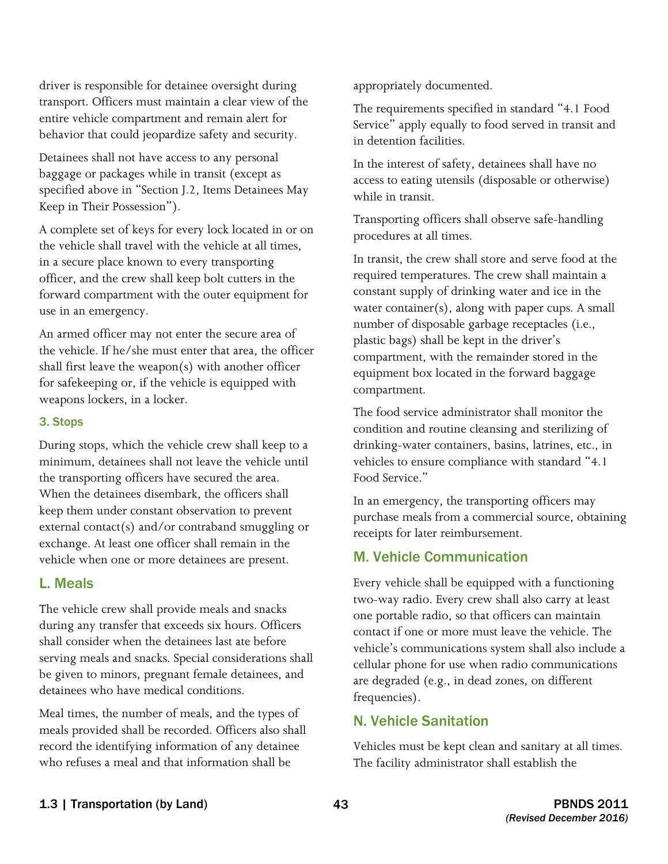driver is responsible for detainee oversight during transport. Officers must maintain a clear view of the entire vehicle compartment and remain alert for behavior that could jeopardize safety and security.

Detainees shall not have access to any personal baggage or packages while in transit (except as specified above in "Section J.2, Items Detainees May Keep in Their Possession").

 A complete set of keys for every lock located in or on the vehicle shall travel with the vehicle at all times, in a secure place known to every transporting officer, and the crew shall keep bolt cutters in the forward compartment with the outer equipment for use in an emergency.

An armed officer may not enter the secure area of the vehicle. If he/she must enter that area, the officer shall first leave the weapon(s) with another officer for safekeeping or, if the vehicle is equipped with weapons lockers, in a locker.

#### 3. Stops

 During stops, which the vehicle crew shall keep to a the transporting officers have secured the area. minimum, detainees shall not leave the vehicle until When the detainees disembark, the officers shall keep them under constant observation to prevent external contact(s) and/or contraband smuggling or exchange. At least one officer shall remain in the vehicle when one or more detainees are present.

#### L. Meals

The vehicle crew shall provide meals and snacks during any transfer that exceeds six hours. Officers shall consider when the detainees last ate before serving meals and snacks. Special considerations shall be given to minors, pregnant female detainees, and detainees who have medical conditions.

Meal times, the number of meals, and the types of meals provided shall be recorded. Officers also shall record the identifying information of any detainee who refuses a meal and that information shall be

appropriately documented.

The requirements specified in standard "4.1 Food Service" apply equally to food served in transit and in detention facilities.

In the interest of safety, detainees shall have no access to eating utensils (disposable or otherwise) while in transit.

Transporting officers shall observe safe-handling procedures at all times.

In transit, the crew shall store and serve food at the required temperatures. The crew shall maintain a constant supply of drinking water and ice in the water container(s), along with paper cups. A small number of disposable garbage receptacles (i.e., plastic bags) shall be kept in the driver's compartment, with the remainder stored in the equipment box located in the forward baggage compartment.

The food service administrator shall monitor the condition and routine cleansing and sterilizing of drinking-water containers, basins, latrines, etc., in vehicles to ensure compliance with standard "4.1 Food Service."

In an emergency, the transporting officers may purchase meals from a commercial source, obtaining receipts for later reimbursement.

### M. Vehicle Communication

Every vehicle shall be equipped with a functioning two-way radio. Every crew shall also carry at least one portable radio, so that officers can maintain contact if one or more must leave the vehicle. The vehicle's communications system shall also include a cellular phone for use when radio communications are degraded (e.g., in dead zones, on different frequencies).

#### N. Vehicle Sanitation

Vehicles must be kept clean and sanitary at all times. The facility administrator shall establish the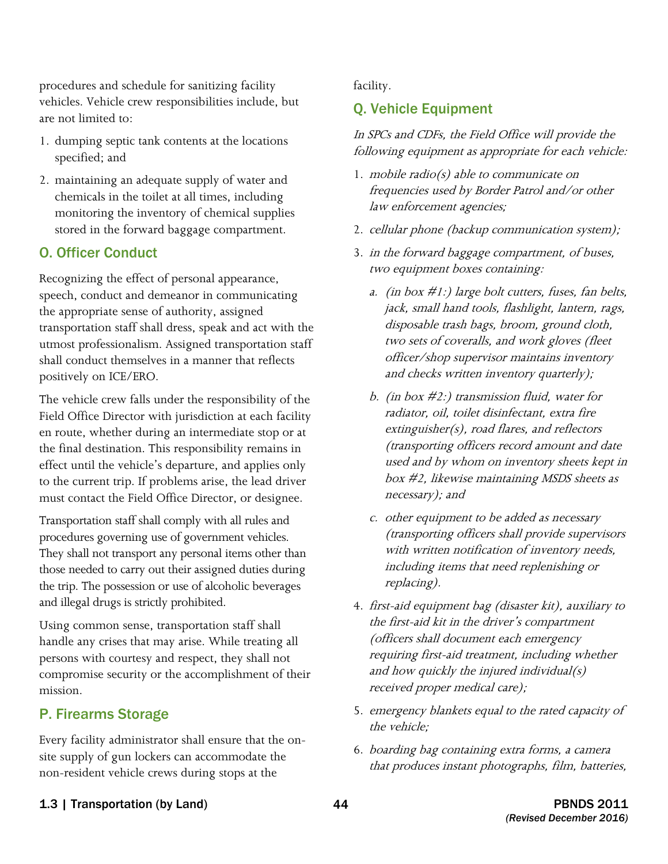procedures and schedule for sanitizing facility vehicles. Vehicle crew responsibilities include, but are not limited to:

- 1. dumping septic tank contents at the locations specified; and
- 2. maintaining an adequate supply of water and chemicals in the toilet at all times, including monitoring the inventory of chemical supplies stored in the forward baggage compartment.

### O. Officer Conduct

Recognizing the effect of personal appearance, speech, conduct and demeanor in communicating the appropriate sense of authority, assigned transportation staff shall dress, speak and act with the utmost professionalism. Assigned transportation staff shall conduct themselves in a manner that reflects positively on ICE/ERO.

 the final destination. This responsibility remains in The vehicle crew falls under the responsibility of the Field Office Director with jurisdiction at each facility en route, whether during an intermediate stop or at effect until the vehicle's departure, and applies only to the current trip. If problems arise, the lead driver must contact the Field Office Director, or designee.

 and illegal drugs is strictly prohibited. Transportation staff shall comply with all rules and procedures governing use of government vehicles. They shall not transport any personal items other than those needed to carry out their assigned duties during the trip. The possession or use of alcoholic beverages

Using common sense, transportation staff shall handle any crises that may arise. While treating all persons with courtesy and respect, they shall not compromise security or the accomplishment of their mission.

# P. Firearms Storage

 non-resident vehicle crews during stops at the Every facility administrator shall ensure that the onsite supply of gun lockers can accommodate the

facility.

# Q. Vehicle Equipment

In SPCs and CDFs, the Field Office will provide the following equipment as appropriate for each vehicle:

- 1. mobile radio(s) able to communicate on frequencies used by Border Patrol and/or other law enforcement agencies;
- 2. cellular phone (backup communication system);
- 3. in the forward baggage compartment, of buses, two equipment boxes containing:
	- a. (in box  $\#1$ :) large bolt cutters, fuses, fan belts, jack, small hand tools, flashlight, lantern, rags, disposable trash bags, broom, ground cloth, two sets of coveralls, and work gloves (fleet officer/shop supervisor maintains inventory and checks written inventory quarterly);
	- b. (in box  $\#2$ :) transmission fluid, water for radiator, oil, toilet disinfectant, extra fire extinguisher(s), road flares, and reflectors (transporting officers record amount and date used and by whom on inventory sheets kept in box #2, likewise maintaining MSDS sheets as necessary); and
	- c. other equipment to be added as necessary (transporting officers shall provide supervisors with written notification of inventory needs, including items that need replenishing or replacing).
- 4. first-aid equipment bag (disaster kit), auxiliary to the first-aid kit in the driver's compartment (officers shall document each emergency requiring first-aid treatment, including whether and how quickly the injured individual $(s)$ received proper medical care);
- 5. emergency blankets equal to the rated capacity of the vehicle;
- 6. boarding bag containing extra forms, a camera that produces instant photographs, film, batteries,
- 1.3 | Transportation (by Land) 44 PBNDS 2011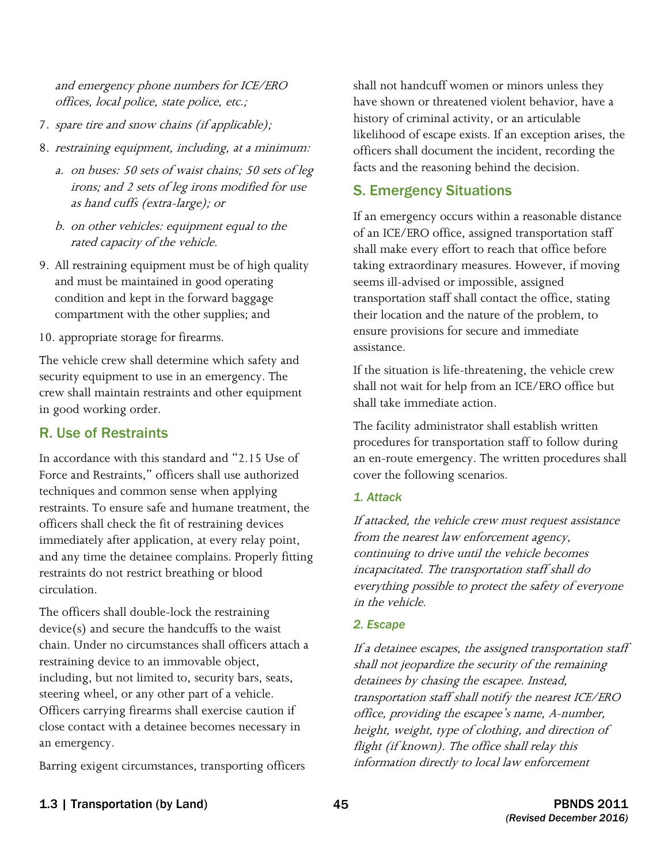offices, local police, state police, etc.; and emergency phone numbers for ICE/ERO

- 7. spare tire and snow chains (if applicable);
- 8. restraining equipment, including, at a minimum:
	- a. on buses: 50 sets of waist chains; 50 sets of leg irons; and 2 sets of leg irons modified for use as hand cuffs (extra-large); or
	- b. on other vehicles: equipment equal to the rated capacity of the vehicle.
- 9. All restraining equipment must be of high quality condition and kept in the forward baggage and must be maintained in good operating compartment with the other supplies; and
- 10. appropriate storage for firearms.

The vehicle crew shall determine which safety and security equipment to use in an emergency. The crew shall maintain restraints and other equipment in good working order.

### R. Use of Restraints

In accordance with this standard and "2.15 Use of Force and Restraints," officers shall use authorized techniques and common sense when applying restraints. To ensure safe and humane treatment, the officers shall check the fit of restraining devices immediately after application, at every relay point, and any time the detainee complains. Properly fitting restraints do not restrict breathing or blood circulation.

The officers shall double-lock the restraining device(s) and secure the handcuffs to the waist chain. Under no circumstances shall officers attach a restraining device to an immovable object, including, but not limited to, security bars, seats, steering wheel, or any other part of a vehicle. Officers carrying firearms shall exercise caution if close contact with a detainee becomes necessary in an emergency.

Barring exigent circumstances, transporting officers

 have shown or threatened violent behavior, have a shall not handcuff women or minors unless they history of criminal activity, or an articulable likelihood of escape exists. If an exception arises, the officers shall document the incident, recording the facts and the reasoning behind the decision.

# S. Emergency Situations

If an emergency occurs within a reasonable distance of an ICE/ERO office, assigned transportation staff shall make every effort to reach that office before taking extraordinary measures. However, if moving seems ill-advised or impossible, assigned transportation staff shall contact the office, stating their location and the nature of the problem, to ensure provisions for secure and immediate assistance.

 If the situation is life-threatening, the vehicle crew shall take immediate action. shall not wait for help from an ICE/ERO office but

The facility administrator shall establish written procedures for transportation staff to follow during an en-route emergency. The written procedures shall cover the following scenarios.

#### *1. Attack*

 If attacked, the vehicle crew must request assistance from the nearest law enforcement agency, continuing to drive until the vehicle becomes incapacitated. The transportation staff shall do everything possible to protect the safety of everyone in the vehicle.

#### *2. Escape*

 If a detainee escapes, the assigned transportation staff shall not jeopardize the security of the remaining detainees by chasing the escapee. Instead, transportation staff shall notify the nearest ICE/ERO office, providing the escapee's name, A-number, height, weight, type of clothing, and direction of flight (if known). The office shall relay this information directly to local law enforcement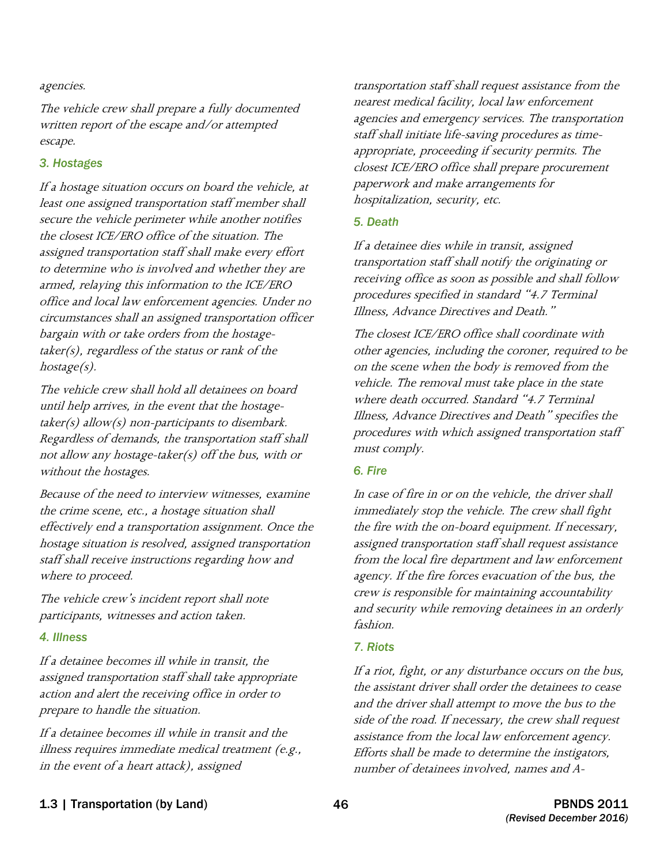#### agencies.

The vehicle crew shall prepare a fully documented written report of the escape and/or attempted escape.

#### *3. Hostages*

If a hostage situation occurs on board the vehicle, at least one assigned transportation staff member shall secure the vehicle perimeter while another notifies the closest ICE/ERO office of the situation. The assigned transportation staff shall make every effort to determine who is involved and whether they are armed, relaying this information to the ICE/ERO office and local law enforcement agencies. Under no circumstances shall an assigned transportation officer bargain with or take orders from the hostagetaker(s), regardless of the status or rank of the hostage(s).

The vehicle crew shall hold all detainees on board until help arrives, in the event that the hostage $taken(s)$  allow(s) non-participants to disembark. Regardless of demands, the transportation staff shall not allow any hostage-taker(s) off the bus, with or without the hostages.

Because of the need to interview witnesses, examine the crime scene, etc., a hostage situation shall effectively end a transportation assignment. Once the hostage situation is resolved, assigned transportation staff shall receive instructions regarding how and where to proceed.

The vehicle crew's incident report shall note participants, witnesses and action taken.

#### *4. Illness*

If a detainee becomes ill while in transit, the assigned transportation staff shall take appropriate action and alert the receiving office in order to prepare to handle the situation.

If a detainee becomes ill while in transit and the illness requires immediate medical treatment (e.g., in the event of a heart attack), assigned

transportation staff shall request assistance from the nearest medical facility, local law enforcement agencies and emergency services. The transportation staff shall initiate life-saving procedures as timeappropriate, proceeding if security permits. The closest ICE/ERO office shall prepare procurement paperwork and make arrangements for hospitalization, security, etc.

#### *5. Death*

If a detainee dies while in transit, assigned transportation staff shall notify the originating or receiving office as soon as possible and shall follow procedures specified in standard "4.7 Terminal Illness, Advance Directives and Death."

The closest ICE/ERO office shall coordinate with other agencies, including the coroner, required to be on the scene when the body is removed from the vehicle. The removal must take place in the state where death occurred. Standard "4.7 Terminal Illness, Advance Directives and Death" specifies the procedures with which assigned transportation staff must comply.

#### *6. Fire*

In case of fire in or on the vehicle, the driver shall immediately stop the vehicle. The crew shall fight the fire with the on-board equipment. If necessary, assigned transportation staff shall request assistance from the local fire department and law enforcement agency. If the fire forces evacuation of the bus, the crew is responsible for maintaining accountability and security while removing detainees in an orderly fashion.

#### *7. Riots*

If a riot, fight, or any disturbance occurs on the bus, the assistant driver shall order the detainees to cease and the driver shall attempt to move the bus to the side of the road. If necessary, the crew shall request assistance from the local law enforcement agency. Efforts shall be made to determine the instigators, number of detainees involved, names and A-

1.3 | Transportation (by Land) 46 PBNDS 2011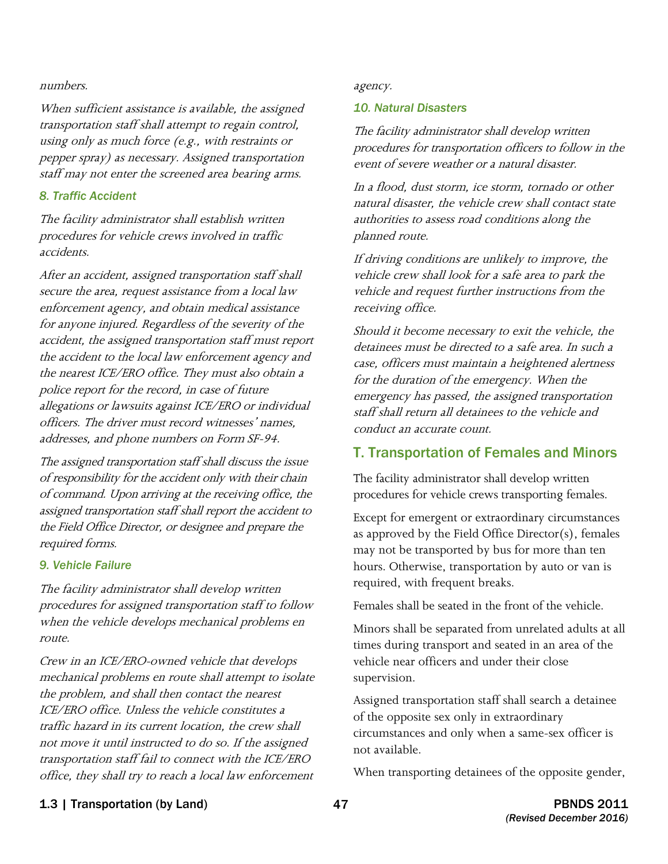#### numbers. and a series of the series of the series of the series are a series and a series of the series of the series of the series of the series of the series of the series of the series of the series of the series of the

When sufficient assistance is available, the assigned transportation staff shall attempt to regain control, using only as much force (e.g., with restraints or pepper spray) as necessary. Assigned transportation staff may not enter the screened area bearing arms.

#### *8. Traffic Accident*

The facility administrator shall establish written procedures for vehicle crews involved in traffic accidents.

 secure the area, request assistance from a local law the accident to the local law enforcement agency and the nearest ICE/ERO office. They must also obtain a police report for the record, in case of future officers. The driver must record witnesses' names, addresses, and phone numbers on Form SF-94. After an accident, assigned transportation staff shall enforcement agency, and obtain medical assistance for anyone injured. Regardless of the severity of the accident, the assigned transportation staff must report allegations or lawsuits against ICE/ERO or individual

 The assigned transportation staff shall discuss the issue the Field Office Director, or designee and prepare the of responsibility for the accident only with their chain of command. Upon arriving at the receiving office, the assigned transportation staff shall report the accident to required forms.

#### *9. Vehicle Failure*

The facility administrator shall develop written procedures for assigned transportation staff to follow when the vehicle develops mechanical problems en route.

Crew in an ICE/ERO-owned vehicle that develops mechanical problems en route shall attempt to isolate the problem, and shall then contact the nearest ICE/ERO office. Unless the vehicle constitutes a traffic hazard in its current location, the crew shall not move it until instructed to do so. If the assigned transportation staff fail to connect with the ICE/ERO office, they shall try to reach a local law enforcement

#### *10. Natural Disasters*

 procedures for transportation officers to follow in the The facility administrator shall develop written event of severe weather or a natural disaster.

In a flood, dust storm, ice storm, tornado or other natural disaster, the vehicle crew shall contact state authorities to assess road conditions along the planned route.

If driving conditions are unlikely to improve, the vehicle crew shall look for a safe area to park the vehicle and request further instructions from the receiving office.

Should it become necessary to exit the vehicle, the detainees must be directed to a safe area. In such a case, officers must maintain a heightened alertness for the duration of the emergency. When the emergency has passed, the assigned transportation staff shall return all detainees to the vehicle and conduct an accurate count.

#### T. Transportation of Females and Minors

The facility administrator shall develop written procedures for vehicle crews transporting females.

Except for emergent or extraordinary circumstances as approved by the Field Office Director(s), females may not be transported by bus for more than ten hours. Otherwise, transportation by auto or van is required, with frequent breaks.

Females shall be seated in the front of the vehicle.

Minors shall be separated from unrelated adults at all times during transport and seated in an area of the vehicle near officers and under their close supervision.

 circumstances and only when a same-sex officer is Assigned transportation staff shall search a detainee of the opposite sex only in extraordinary not available.

When transporting detainees of the opposite gender,

#### 1.3 | Transportation (by Land) 47 PBNDS 2011